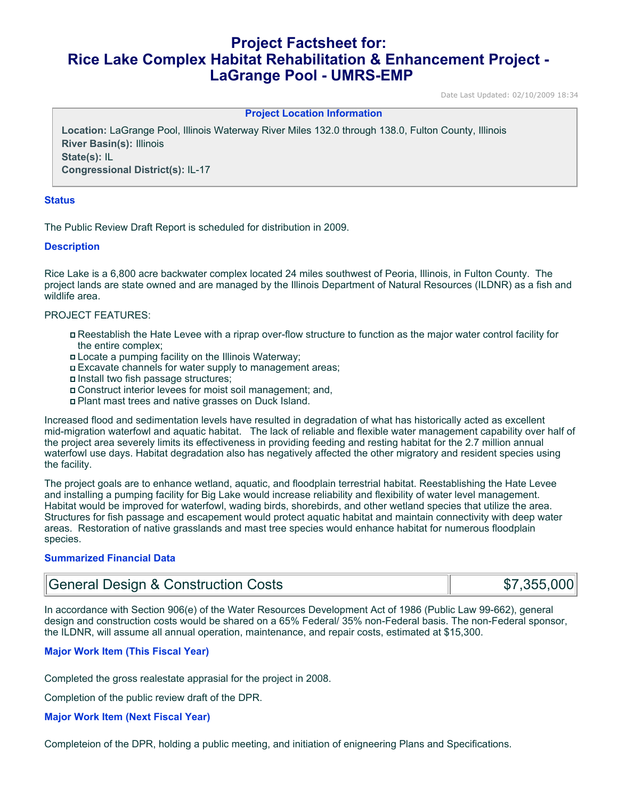# **Project Factsheet for: Rice Lake Complex Habitat Rehabilitation & Enhancement Project - LaGrange Pool - UMRS-EMP**

Date Last Updated: 02/10/2009 18:34

#### **Project Location Information**

**Location:** LaGrange Pool, Illinois Waterway River Miles 132.0 through 138.0, Fulton County, Illinois **River Basin(s):** Illinois **State(s):** IL **Congressional District(s):** IL-17

#### **Status**

The Public Review Draft Report is scheduled for distribution in 2009.

## **Description**

Rice Lake is a 6,800 acre backwater complex located 24 miles southwest of Peoria, Illinois, in Fulton County. The project lands are state owned and are managed by the Illinois Department of Natural Resources (ILDNR) as a fish and wildlife area.

### PROJECT FEATURES:

- Reestablish the Hate Levee with a riprap over-flow structure to function as the major water control facility for the entire complex;
- Locate a pumping facility on the Illinois Waterway;
- Excavate channels for water supply to management areas;
- Install two fish passage structures;
- Construct interior levees for moist soil management; and,
- Plant mast trees and native grasses on Duck Island.

Increased flood and sedimentation levels have resulted in degradation of what has historically acted as excellent mid-migration waterfowl and aquatic habitat. The lack of reliable and flexible water management capability over half of the project area severely limits its effectiveness in providing feeding and resting habitat for the 2.7 million annual waterfowl use days. Habitat degradation also has negatively affected the other migratory and resident species using the facility.

The project goals are to enhance wetland, aquatic, and floodplain terrestrial habitat. Reestablishing the Hate Levee and installing a pumping facility for Big Lake would increase reliability and flexibility of water level management. Habitat would be improved for waterfowl, wading birds, shorebirds, and other wetland species that utilize the area. Structures for fish passage and escapement would protect aquatic habitat and maintain connectivity with deep water areas. Restoration of native grasslands and mast tree species would enhance habitat for numerous floodplain species.

# **Summarized Financial Data**

| General Design & Construction Costs | \$7,355,000 |
|-------------------------------------|-------------|
|-------------------------------------|-------------|

In accordance with Section 906(e) of the Water Resources Development Act of 1986 (Public Law 99-662), general design and construction costs would be shared on a 65% Federal/ 35% non-Federal basis. The non-Federal sponsor, the ILDNR, will assume all annual operation, maintenance, and repair costs, estimated at \$15,300.

# **Major Work Item (This Fiscal Year)**

Completed the gross realestate apprasial for the project in 2008.

Completion of the public review draft of the DPR.

#### **Major Work Item (Next Fiscal Year)**

Completeion of the DPR, holding a public meeting, and initiation of enigneering Plans and Specifications.